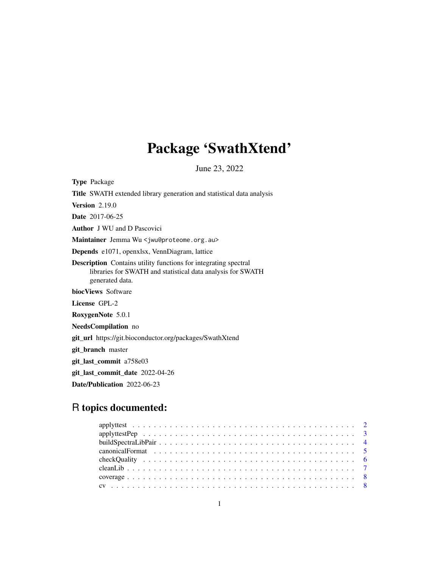# Package 'SwathXtend'

June 23, 2022

<span id="page-0-0"></span>Type Package Title SWATH extended library generation and statistical data analysis Version 2.19.0 Date 2017-06-25 Author J WU and D Pascovici Maintainer Jemma Wu <jwu@proteome.org.au> Depends e1071, openxlsx, VennDiagram, lattice Description Contains utility functions for integrating spectral libraries for SWATH and statistical data analysis for SWATH generated data. biocViews Software License GPL-2 RoxygenNote 5.0.1 NeedsCompilation no git\_url https://git.bioconductor.org/packages/SwathXtend git\_branch master git\_last\_commit a758e03 git\_last\_commit\_date 2022-04-26

Date/Publication 2022-06-23

# R topics documented: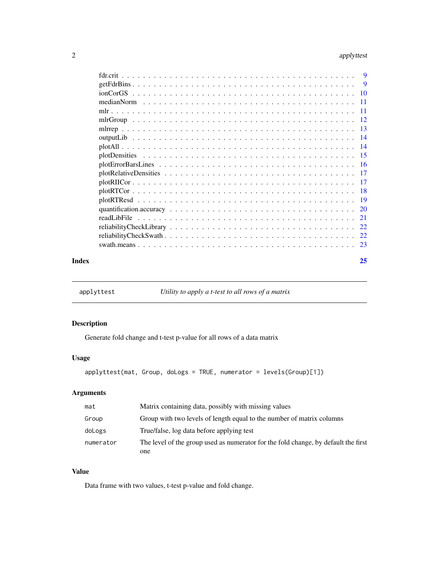#### <span id="page-1-0"></span>2 applyttest and the contract of the contract of the contract of the contract of the contract of the contract of the contract of the contract of the contract of the contract of the contract of the contract of the contract

|       | readLibFile |    |
|-------|-------------|----|
|       |             |    |
|       |             |    |
|       |             |    |
| Index |             | 25 |

<span id="page-1-1"></span>applyttest *Utility to apply a t-test to all rows of a matrix*

#### Description

Generate fold change and t-test p-value for all rows of a data matrix

#### Usage

```
applyttest(mat, Group, doLogs = TRUE, numerator = levels(Group)[1])
```
#### Arguments

| mat       | Matrix containing data, possibly with missing values                               |
|-----------|------------------------------------------------------------------------------------|
| Group     | Group with two levels of length equal to the number of matrix columns              |
| doLogs    | True/false, log data before applying test                                          |
| numerator | The level of the group used as numerator for the fold change, by default the first |
|           | one                                                                                |

#### Value

Data frame with two values, t-test p-value and fold change.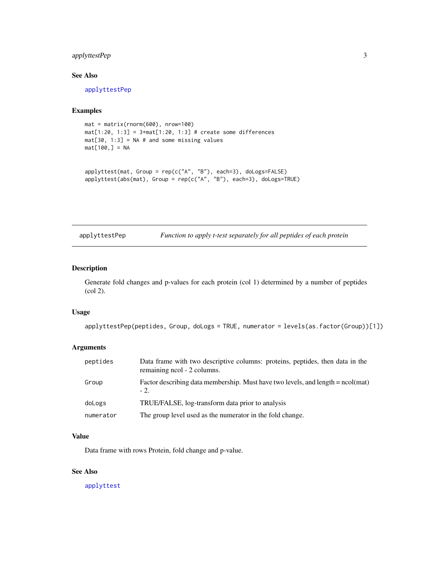#### <span id="page-2-0"></span>applyttestPep 3

#### See Also

[applyttestPep](#page-2-1)

#### Examples

```
mat = matrix(rnorm(600), nrow=100)
mat[1:20, 1:3] = 3+mat[1:20, 1:3] # create some differences
mat[30, 1:3] = NA # and some missing valuesmat[100,] = NA
```

```
applyttest(mat, Group = rep(c("A", "B"), each=3), doLogs=FALSE)
applyttest(abs(mat), Group = rep(c("A", "B"), each=3), doLogs=TRUE)
```
<span id="page-2-1"></span>applyttestPep *Function to apply t-test separately for all peptides of each protein*

### Description

Generate fold changes and p-values for each protein (col 1) determined by a number of peptides (col 2).

#### Usage

applyttestPep(peptides, Group, doLogs = TRUE, numerator = levels(as.factor(Group))[1])

#### Arguments

| peptides  | Data frame with two descriptive columns: proteins, peptides, then data in the<br>remaining ncol - 2 columns. |
|-----------|--------------------------------------------------------------------------------------------------------------|
| Group     | Factor describing data membership. Must have two levels, and length $=$ ncol(mat)<br>$-2.$                   |
| doLogs    | TRUE/FALSE, log-transform data prior to analysis                                                             |
| numerator | The group level used as the numerator in the fold change.                                                    |

#### Value

Data frame with rows Protein, fold change and p-value.

#### See Also

[applyttest](#page-1-1)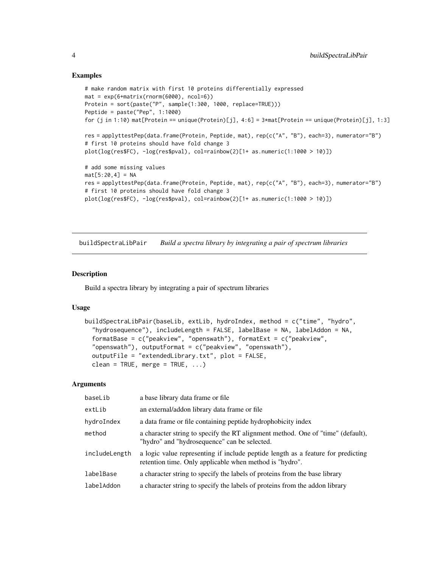#### Examples

```
# make random matrix with first 10 proteins differentially expressed
mat = exp(6 + matrix(rnorm(6000), ncol=6))Protein = sort(paste("P", sample(1:300, 1000, replace=TRUE)))
Peptide = paste("Pep", 1:1000)
for (j in 1:10) mat[Protein == unique(Protein)[j], 4:6] = 3*mat[Protein == unique(Protein)[j], 1:3]
res = applyttestPep(data.frame(Protein, Peptide, mat), rep(c("A", "B"), each=3), numerator="B")
# first 10 proteins should have fold change 3
plot(log(resfFC), -log(resfpval), col=rainbow(2)[1+ as.numeric(1:1000 > 10)])# add some missing values
mat[5:20, 4] = NAres = applyttestPep(data.frame(Protein, Peptide, mat), rep(c("A", "B"), each=3), numerator="B")
# first 10 proteins should have fold change 3
plot(log(res$FC), -log(res$pval), col=rainbow(2)[1+ as.numeric(1:1000 > 10)])
```
buildSpectraLibPair *Build a spectra library by integrating a pair of spectrum libraries*

#### Description

Build a spectra library by integrating a pair of spectrum libraries

#### Usage

```
buildSpectraLibPair(baseLib, extLib, hydroIndex, method = c("time", "hydro",
  "hydrosequence"), includeLength = FALSE, labelBase = NA, labelAddon = NA,
  formatBase = c("peakview", "openswath"), formatExt = c("peakview",
  "openswath"), outputFormat = c("peakview", "openswath"),
  outputFile = "extendedLibrary.txt", plot = FALSE,
  clean = TRUE, merge = TRUE, \ldots)
```
#### Arguments

| baseLib       | a base library data frame or file.                                                                                                          |
|---------------|---------------------------------------------------------------------------------------------------------------------------------------------|
| extLib        | an external/addon library data frame or file                                                                                                |
| hydroIndex    | a data frame or file containing peptide hydrophobicity index                                                                                |
| method        | a character string to specify the RT alignment method. One of "time" (default),<br>"hydro" and "hydrosequence" can be selected.             |
| includeLength | a logic value representing if include peptide length as a feature for predicting<br>retention time. Only applicable when method is "hydro". |
| labelBase     | a character string to specify the labels of proteins from the base library                                                                  |
| labelAddon    | a character string to specify the labels of proteins from the addon library                                                                 |

<span id="page-3-0"></span>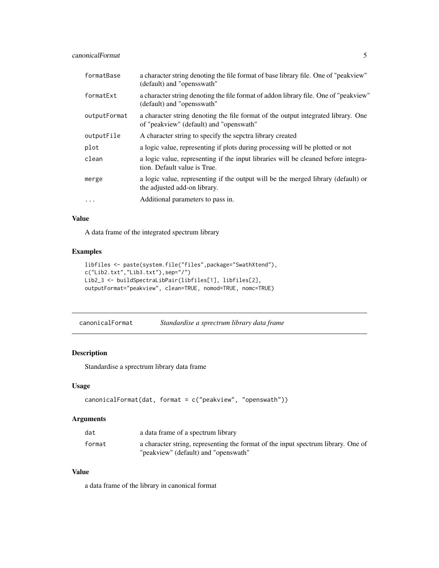<span id="page-4-0"></span>canonicalFormat 5

| formatBase   | a character string denoting the file format of base library file. One of "peakview"<br>(default) and "opensswath"            |
|--------------|------------------------------------------------------------------------------------------------------------------------------|
| formatExt    | a character string denoting the file format of addon library file. One of "peakview"<br>(default) and "opensswath"           |
| outputFormat | a character string denoting the file format of the output integrated library. One<br>of "peakview" (default) and "openswath" |
| outputFile   | A character string to specify the sepetra library created                                                                    |
| plot         | a logic value, representing if plots during processing will be plotted or not                                                |
| clean        | a logic value, representing if the input libraries will be cleaned before integra-<br>tion. Default value is True.           |
| merge        | a logic value, representing if the output will be the merged library (default) or<br>the adjusted add-on library.            |
| $\ddotsc$    | Additional parameters to pass in.                                                                                            |

#### Value

A data frame of the integrated spectrum library

#### Examples

```
libfiles <- paste(system.file("files",package="SwathXtend"),
c("Lib2.txt","Lib3.txt"),sep="/")
Lib2_3 <- buildSpectraLibPair(libfiles[1], libfiles[2],
outputFormat="peakview", clean=TRUE, nomod=TRUE, nomc=TRUE)
```

| canonicalFormat | Standardise a sprectrum library data frame |  |  |
|-----------------|--------------------------------------------|--|--|
|-----------------|--------------------------------------------|--|--|

#### Description

Standardise a sprectrum library data frame

#### Usage

```
canonicalFormat(dat, format = c("peakview", "openswath"))
```
#### Arguments

| dat    | a data frame of a spectrum library                                                                                        |
|--------|---------------------------------------------------------------------------------------------------------------------------|
| format | a character string, representing the format of the input spectrum library. One of<br>"peakview" (default) and "openswath" |

#### Value

a data frame of the library in canonical format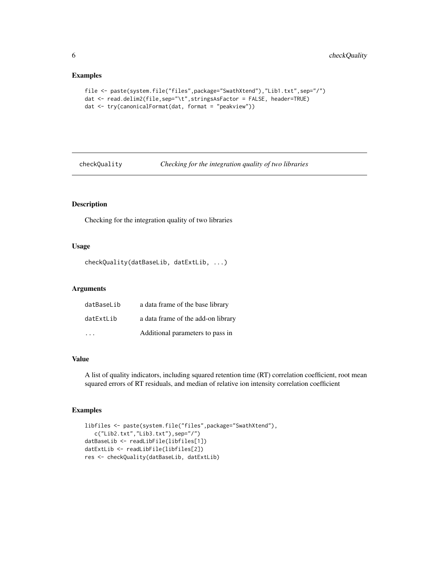#### Examples

```
file <- paste(system.file("files",package="SwathXtend"),"Lib1.txt",sep="/")
dat <- read.delim2(file,sep="\t",stringsAsFactor = FALSE, header=TRUE)
dat <- try(canonicalFormat(dat, format = "peakview"))
```
checkQuality *Checking for the integration quality of two libraries*

#### Description

Checking for the integration quality of two libraries

#### Usage

checkQuality(datBaseLib, datExtLib, ...)

#### Arguments

| datBaseLib | a data frame of the base library   |
|------------|------------------------------------|
| datExtLib  | a data frame of the add-on library |
|            | Additional parameters to pass in   |

#### Value

A list of quality indicators, including squared retention time (RT) correlation coefficient, root mean squared errors of RT residuals, and median of relative ion intensity correlation coefficient

```
libfiles <- paste(system.file("files",package="SwathXtend"),
   c("Lib2.txt","Lib3.txt"),sep="/")
datBaseLib <- readLibFile(libfiles[1])
datExtLib <- readLibFile(libfiles[2])
res <- checkQuality(datBaseLib, datExtLib)
```
<span id="page-5-0"></span>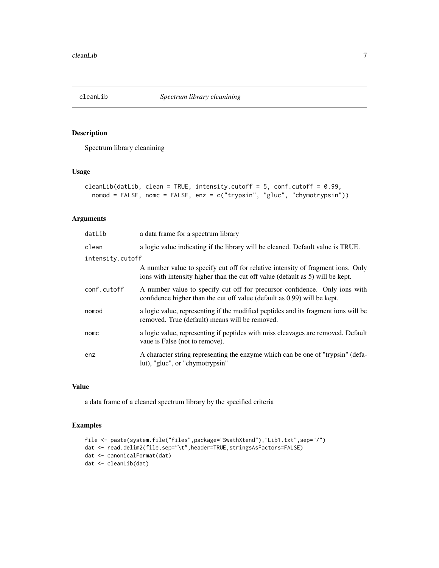<span id="page-6-0"></span>

#### Description

Spectrum library cleanining

#### Usage

```
cleanLib(datLib, clean = TRUE, intensity.cutoff = 5, conf.cutoff = 0.99,
  nomod = FALSE, nomc = FALSE, enz = c("trypsin", "gluc", "chymotrypsin"))
```
#### Arguments

| datLib           | a data frame for a spectrum library                                                                                                                               |
|------------------|-------------------------------------------------------------------------------------------------------------------------------------------------------------------|
| clean            | a logic value indicating if the library will be cleaned. Default value is TRUE.                                                                                   |
| intensity.cutoff |                                                                                                                                                                   |
|                  | A number value to specify cut off for relative intensity of fragment ions. Only<br>ions with intensity higher than the cut off value (default as 5) will be kept. |
| conf.cutoff      | A number value to specify cut off for precursor confidence. Only ions with<br>confidence higher than the cut off value (default as 0.99) will be kept.            |
| nomod            | a logic value, representing if the modified peptides and its fragment ions will be<br>removed. True (default) means will be removed.                              |
| nomc             | a logic value, representing if peptides with miss cleavages are removed. Default<br>vaue is False (not to remove).                                                |
| enz              | A character string representing the enzyme which can be one of "trypsin" (defa-<br>lut), "gluc", or "chymotrypsin"                                                |

#### Value

a data frame of a cleaned spectrum library by the specified criteria

```
file <- paste(system.file("files",package="SwathXtend"),"Lib1.txt",sep="/")
dat <- read.delim2(file,sep="\t",header=TRUE,stringsAsFactors=FALSE)
dat <- canonicalFormat(dat)
dat <- cleanLib(dat)
```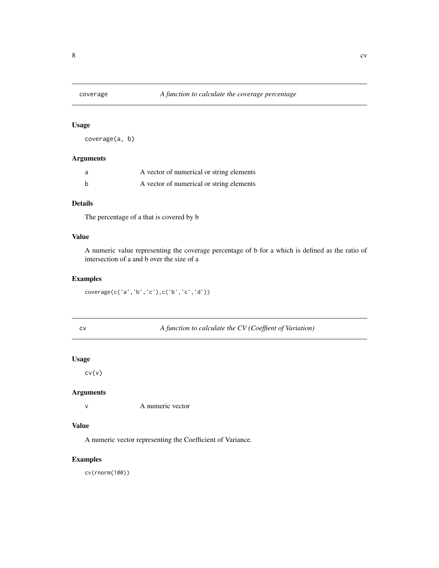<span id="page-7-0"></span>

#### Usage

coverage(a, b)

#### Arguments

| A vector of numerical or string elements |
|------------------------------------------|
| A vector of numerical or string elements |

#### Details

The percentage of a that is covered by b

#### Value

A numeric value representing the coverage percentage of b for a which is defined as the ratio of intersection of a and b over the size of a

#### Examples

```
coverage(c('a','b','c'),c('b','c','d'))
```
cv *A function to calculate the CV (Coeffient of Variation)*

#### Usage

cv(v)

#### Arguments

v A numeric vector

#### Value

A numeric vector representing the Coefficient of Variance.

#### Examples

cv(rnorm(100))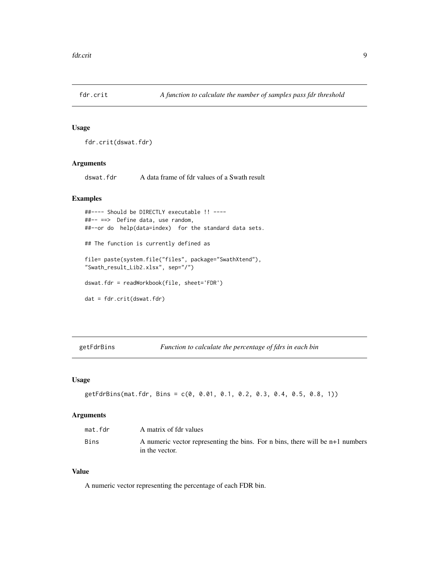<span id="page-8-0"></span>

#### Usage

fdr.crit(dswat.fdr)

#### Arguments

dswat.fdr A data frame of fdr values of a Swath result

#### Examples

```
##---- Should be DIRECTLY executable !! ----
##-- ==> Define data, use random,
##--or do help(data=index) for the standard data sets.
## The function is currently defined as
file= paste(system.file("files", package="SwathXtend"),
"Swath_result_Lib2.xlsx", sep="/")
dswat.fdr = readWorkbook(file, sheet='FDR')
dat = fdr.crit(dswat.fdr)
```
getFdrBins *Function to calculate the percentage of fdrs in each bin*

#### Usage

```
getFdrBins(mat.fdr, Bins = c(0, 0.01, 0.1, 0.2, 0.3, 0.4, 0.5, 0.8, 1))
```
#### Arguments

| mat.fdr | A matrix of fdr values                                                        |
|---------|-------------------------------------------------------------------------------|
| Bins    | A numeric vector representing the bins. For n bins, there will be n+1 numbers |
|         | in the vector.                                                                |

#### Value

A numeric vector representing the percentage of each FDR bin.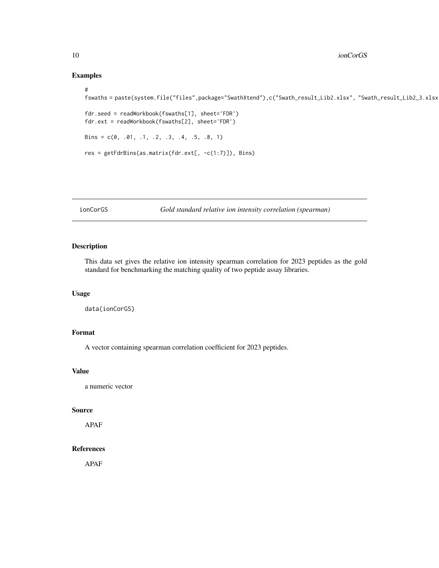#### Examples

```
#
fswaths = paste(system.file("files",package="SwathXtend"),c("Swath_result_Lib2.xlsx", "Swath_result_Lib2_3.xlsx
fdr.seed = readWorkbook(fswaths[1], sheet='FDR')
fdr.ext = readWorkbook(fswaths[2], sheet='FDR')
Bins = c(0, .01, .1, .2, .3, .4, .5, .8, 1)res = getFdrBins(as.matrix(fdr.ext[, -c(1:7)]), Bins)
```
ionCorGS *Gold standard relative ion intensity correlation (spearman)*

#### Description

This data set gives the relative ion intensity spearman correlation for 2023 peptides as the gold standard for benchmarking the matching quality of two peptide assay libraries.

#### Usage

```
data(ionCorGS)
```
#### Format

A vector containing spearman correlation coefficient for 2023 peptides.

#### Value

a numeric vector

#### Source

APAF

#### References

APAF

<span id="page-9-0"></span>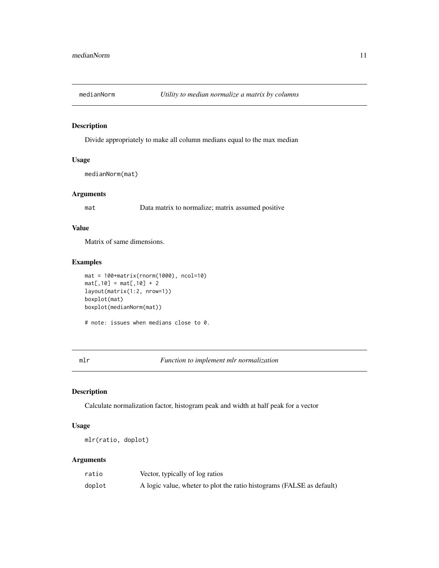<span id="page-10-0"></span>

#### Description

Divide appropriately to make all column medians equal to the max median

#### Usage

```
medianNorm(mat)
```
#### Arguments

mat Data matrix to normalize; matrix assumed positive

#### Value

Matrix of same dimensions.

#### Examples

```
mat = 100+matrix(rnorm(1000), ncol=10)
mat[, 10] = mat[, 10] + 2layout(matrix(1:2, nrow=1))
boxplot(mat)
boxplot(medianNorm(mat))
```
# note: issues when medians close to 0.

<span id="page-10-1"></span>mlr *Function to implement mlr normalization*

#### Description

Calculate normalization factor, histogram peak and width at half peak for a vector

#### Usage

mlr(ratio, doplot)

#### Arguments

| ratio  | Vector, typically of log ratios                                       |
|--------|-----------------------------------------------------------------------|
| doplot | A logic value, wheter to plot the ratio histograms (FALSE as default) |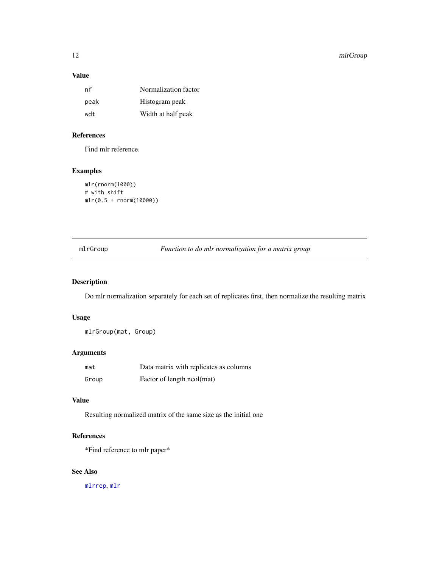#### <span id="page-11-0"></span>12 mlrGroup

#### Value

| nf   | Normalization factor |
|------|----------------------|
| peak | Histogram peak       |
| wdt  | Width at half peak   |

#### References

Find mlr reference.

#### Examples

```
mlr(rnorm(1000))
# with shift
mlr(0.5 + rnorm(10000))
```
<span id="page-11-1"></span>mlrGroup *Function to do mlr normalization for a matrix group*

#### Description

Do mlr normalization separately for each set of replicates first, then normalize the resulting matrix

#### Usage

mlrGroup(mat, Group)

#### Arguments

| mat   | Data matrix with replicates as columns |
|-------|----------------------------------------|
| Group | Factor of length ncol(mat)             |

#### Value

Resulting normalized matrix of the same size as the initial one

#### References

\*Find reference to mlr paper\*

#### See Also

[mlrrep](#page-12-1), [mlr](#page-10-1)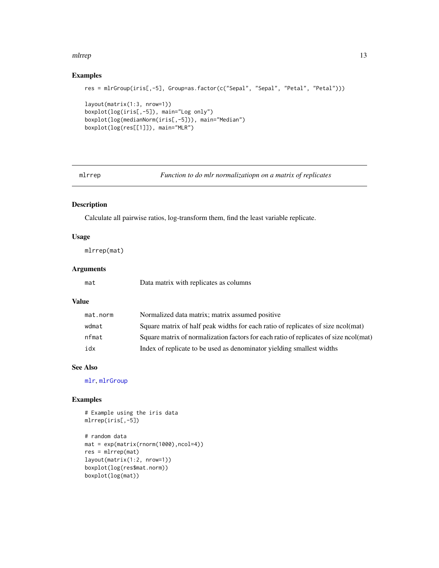#### <span id="page-12-0"></span>mlrrep and the state of the state of the state of the state of the state of the state of the state of the state of the state of the state of the state of the state of the state of the state of the state of the state of the

#### Examples

```
res = mlrGroup(iris[,-5], Group=as.factor(c("Sepal", "Sepal", "Petal", "Petal")))
layout(matrix(1:3, nrow=1))
boxplot(log(iris[,-5]), main="Log only")
boxplot(log(medianNorm(iris[,-5])), main="Median")
boxplot(log(res[[1]]), main="MLR")
```
<span id="page-12-1"></span>mlrrep *Function to do mlr normalizatiopn on a matrix of replicates*

#### Description

Calculate all pairwise ratios, log-transform them, find the least variable replicate.

#### Usage

mlrrep(mat)

#### Arguments

mat Data matrix with replicates as columns

#### Value

| mat.norm | Normalized data matrix; matrix assumed positive                                       |
|----------|---------------------------------------------------------------------------------------|
| wdmat    | Square matrix of half peak widths for each ratio of replicates of size ncol(mat)      |
| nfmat    | Square matrix of normalization factors for each ratio of replicates of size ncol(mat) |
| idx      | Index of replicate to be used as denominator yielding smallest widths                 |

#### See Also

[mlr](#page-10-1), [mlrGroup](#page-11-1)

#### Examples

# Example using the iris data mlrrep(iris[,-5])

```
# random data
mat = exp(matrix(rnorm(1000),ncol=4))
res = mlrrep(mat)
layout(matrix(1:2, nrow=1))
boxplot(log(res$mat.norm))
boxplot(log(mat))
```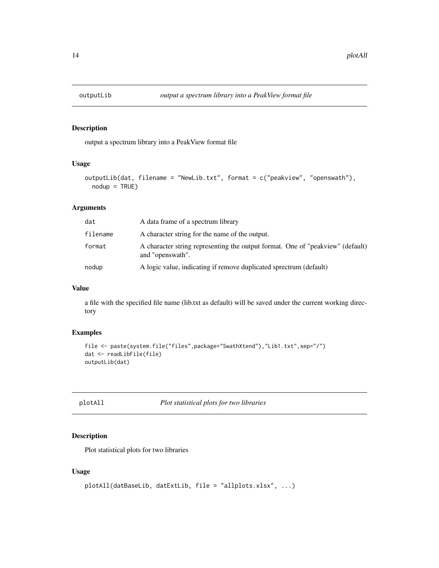<span id="page-13-0"></span>

#### Description

output a spectrum library into a PeakView format file

#### Usage

```
outputLib(dat, filename = "NewLib.txt", format = c("peakview", "openswath"),
  nodup = TRUE)
```
#### Arguments

| dat      | A data frame of a spectrum library                                                                 |
|----------|----------------------------------------------------------------------------------------------------|
| filename | A character string for the name of the output.                                                     |
| format   | A character string representing the output format. One of "peakview" (default)<br>and "openswath". |
| nodup    | A logic value, indicating if remove duplicated sprectrum (default)                                 |

#### Value

a file with the specified file name (lib.txt as default) will be saved under the current working directory

#### Examples

```
file <- paste(system.file("files",package="SwathXtend"),"Lib1.txt",sep="/")
dat <- readLibFile(file)
outputLib(dat)
```
plotAll *Plot statistical plots for two libraries*

#### Description

Plot statistical plots for two libraries

#### Usage

```
plotAll(datBaseLib, datExtLib, file = "allplots.xlsx", ...)
```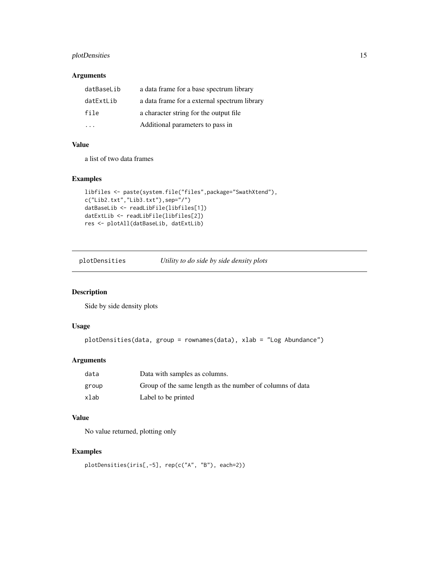#### <span id="page-14-0"></span>plotDensities 15

#### Arguments

| datBaseLib | a data frame for a base spectrum library     |
|------------|----------------------------------------------|
| datExtLib  | a data frame for a external spectrum library |
| file       | a character string for the output file.      |
|            | Additional parameters to pass in             |

#### Value

a list of two data frames

#### Examples

```
libfiles <- paste(system.file("files",package="SwathXtend"),
c("Lib2.txt","Lib3.txt"),sep="/")
datBaseLib <- readLibFile(libfiles[1])
datExtLib <- readLibFile(libfiles[2])
res <- plotAll(datBaseLib, datExtLib)
```
plotDensities *Utility to do side by side density plots*

#### Description

Side by side density plots

#### Usage

```
plotDensities(data, group = rownames(data), xlab = "Log Abundance")
```
#### Arguments

| data  | Data with samples as columns.                             |
|-------|-----------------------------------------------------------|
| group | Group of the same length as the number of columns of data |
| xlab  | Label to be printed                                       |

#### Value

No value returned, plotting only

```
plotDensities(iris[,-5], rep(c("A", "B"), each=2))
```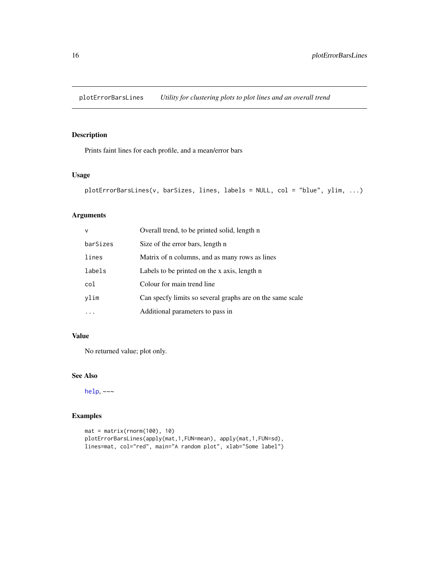<span id="page-15-0"></span>plotErrorBarsLines *Utility for clustering plots to plot lines and an overall trend*

#### Description

Prints faint lines for each profile, and a mean/error bars

#### Usage

```
plotErrorBarsLines(v, barSizes, lines, labels = NULL, col = "blue", ylim, ...)
```
#### Arguments

| $\vee$   | Overall trend, to be printed solid, length n              |
|----------|-----------------------------------------------------------|
| barSizes | Size of the error bars, length n                          |
| lines    | Matrix of n columns, and as many rows as lines            |
| labels   | Labels to be printed on the x axis, length n              |
| col      | Colour for main trend line                                |
| vlim     | Can specfy limits so several graphs are on the same scale |
|          | Additional parameters to pass in                          |

#### Value

No returned value; plot only.

### See Also

[help](#page-0-0), ~~~

```
mat = matrix(rnorm(100), 10)
plotErrorBarsLines(apply(mat,1,FUN=mean), apply(mat,1,FUN=sd),
lines=mat, col="red", main="A random plot", xlab="Some label")
```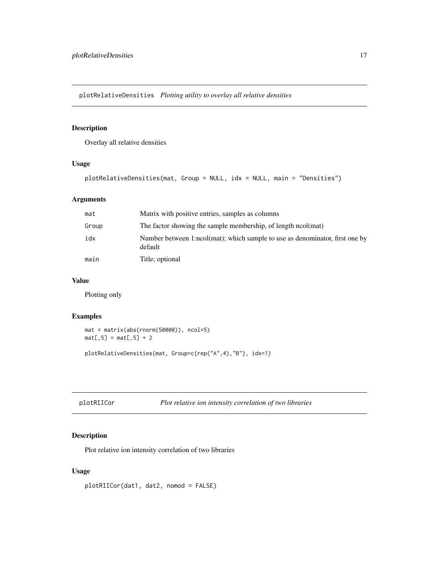<span id="page-16-0"></span>plotRelativeDensities *Plotting utility to overlay all relative densities*

#### Description

Overlay all relative densities

#### Usage

plotRelativeDensities(mat, Group = NULL, idx = NULL, main = "Densities")

#### Arguments

| mat   | Matrix with positive entries, samples as columns                                        |
|-------|-----------------------------------------------------------------------------------------|
| Group | The factor showing the sample membership, of length ncol(mat)                           |
| idx   | Number between 1:ncol(mat); which sample to use as denominator, first one by<br>default |
| main  | Title; optional                                                                         |

#### Value

Plotting only

#### Examples

```
mat = matrix(abs(rnorm(50000)), ncol=5)
mat[, 5] = mat[, 5] + 2
```
plotRelativeDensities(mat, Group=c(rep("A",4),"B"), idx=1)

```
plotRIICor Plot relative ion intensity correlation of two libraries
```
#### Description

Plot relative ion intensity correlation of two libraries

#### Usage

plotRIICor(dat1, dat2, nomod = FALSE)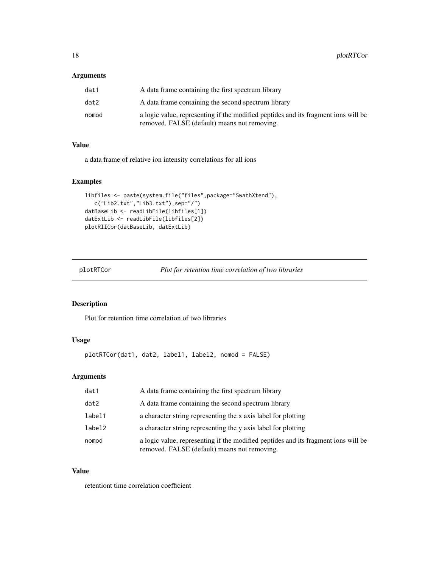#### <span id="page-17-0"></span>Arguments

| dat1  | A data frame containing the first spectrum library                                                                                 |
|-------|------------------------------------------------------------------------------------------------------------------------------------|
| dat2  | A data frame containing the second spectrum library                                                                                |
| nomod | a logic value, representing if the modified peptides and its fragment ions will be<br>removed. FALSE (default) means not removing. |

#### Value

a data frame of relative ion intensity correlations for all ions

#### Examples

```
libfiles <- paste(system.file("files",package="SwathXtend"),
  c("Lib2.txt","Lib3.txt"),sep="/")
datBaseLib <- readLibFile(libfiles[1])
datExtLib <- readLibFile(libfiles[2])
plotRIICor(datBaseLib, datExtLib)
```
plotRTCor *Plot for retention time correlation of two libraries*

### Description

Plot for retention time correlation of two libraries

#### Usage

plotRTCor(dat1, dat2, label1, label2, nomod = FALSE)

#### Arguments

| dat1   | A data frame containing the first spectrum library                                                                                 |
|--------|------------------------------------------------------------------------------------------------------------------------------------|
| dat2   | A data frame containing the second spectrum library                                                                                |
| label1 | a character string representing the x axis label for plotting                                                                      |
| label2 | a character string representing the y axis label for plotting                                                                      |
| nomod  | a logic value, representing if the modified peptides and its fragment ions will be<br>removed. FALSE (default) means not removing. |

#### Value

retentiont time correlation coefficient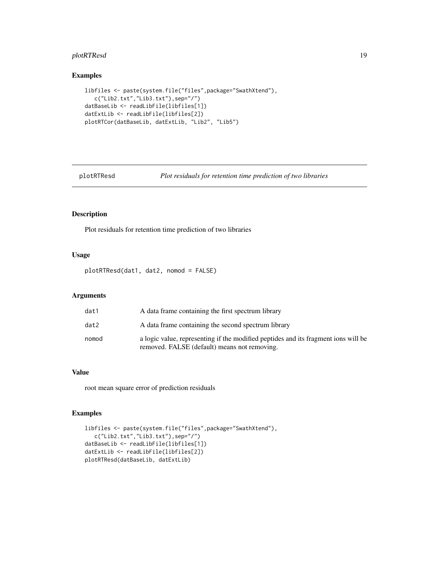#### <span id="page-18-0"></span>plotRTResd 19

#### Examples

```
libfiles <- paste(system.file("files",package="SwathXtend"),
  c("Lib2.txt","Lib3.txt"),sep="/")
datBaseLib <- readLibFile(libfiles[1])
datExtLib <- readLibFile(libfiles[2])
plotRTCor(datBaseLib, datExtLib, "Lib2", "Lib5")
```
plotRTResd *Plot residuals for retention time prediction of two libraries*

#### Description

Plot residuals for retention time prediction of two libraries

#### Usage

plotRTResd(dat1, dat2, nomod = FALSE)

#### Arguments

| dat1  | A data frame containing the first spectrum library                                                                                 |
|-------|------------------------------------------------------------------------------------------------------------------------------------|
| dat2  | A data frame containing the second spectrum library                                                                                |
| nomod | a logic value, representing if the modified peptides and its fragment ions will be<br>removed. FALSE (default) means not removing. |

#### Value

root mean square error of prediction residuals

```
libfiles <- paste(system.file("files",package="SwathXtend"),
   c("Lib2.txt","Lib3.txt"),sep="/")
datBaseLib <- readLibFile(libfiles[1])
datExtLib <- readLibFile(libfiles[2])
plotRTResd(datBaseLib, datExtLib)
```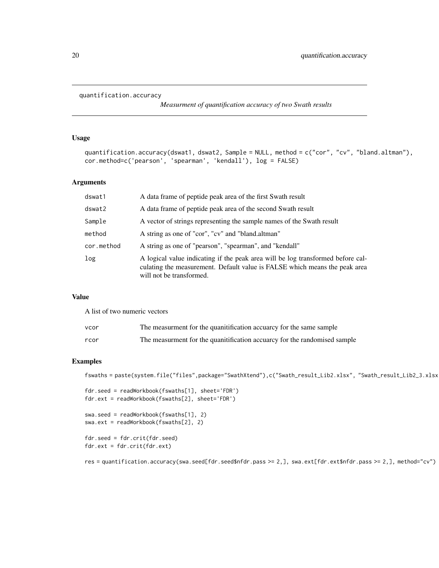```
quantification.accuracy
```
*Measurment of quantification accuracy of two Swath results*

#### Usage

quantification.accuracy(dswat1, dswat2, Sample = NULL, method = c("cor", "cv", "bland.altman"), cor.method=c('pearson', 'spearman', 'kendall'), log = FALSE)

#### Arguments

| dswat1     | A data frame of peptide peak area of the first Swath result                                                                                                                               |
|------------|-------------------------------------------------------------------------------------------------------------------------------------------------------------------------------------------|
| dswat2     | A data frame of peptide peak area of the second Swath result                                                                                                                              |
| Sample     | A vector of strings representing the sample names of the Swath result                                                                                                                     |
| method     | A string as one of "cor", "cv" and "bland.altman"                                                                                                                                         |
| cor.method | A string as one of "pearson", "spearman", and "kendall"                                                                                                                                   |
| log        | A logical value indicating if the peak area will be log transformed before cal-<br>culating the measurement. Default value is FALSE which means the peak area<br>will not be transformed. |

#### Value

A list of two numeric vectors

| vcor | The measurment for the quantification accuarcy for the same sample        |
|------|---------------------------------------------------------------------------|
| rcor | The measurment for the quanitification accuarcy for the randomised sample |

#### Examples

```
fswaths = paste(system.file("files",package="SwathXtend"),c("Swath_result_Lib2.xlsx", "Swath_result_Lib2_3.xlsx
```
fdr.seed = readWorkbook(fswaths[1], sheet='FDR') fdr.ext = readWorkbook(fswaths[2], sheet='FDR')

swa.seed = readWorkbook(fswaths[1], 2) swa.ext = readWorkbook(fswaths[2], 2)

fdr.seed = fdr.crit(fdr.seed) fdr.ext = fdr.crit(fdr.ext)

res = quantification.accuracy(swa.seed[fdr.seed\$nfdr.pass >= 2,], swa.ext[fdr.ext\$nfdr.pass >= 2,], method="cv")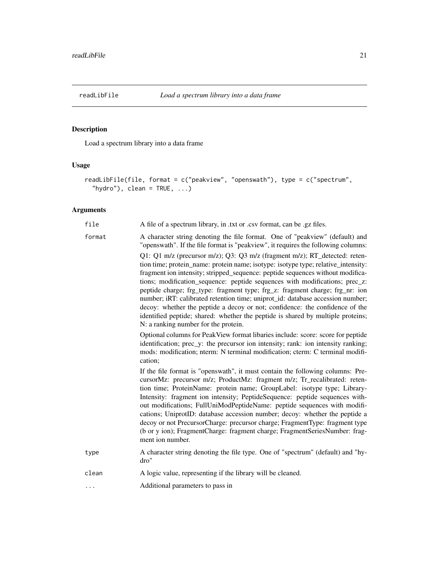<span id="page-20-0"></span>

## Description

Load a spectrum library into a data frame

#### Usage

```
readLibFile(file, format = c("peakview", "openswath"), type = c("spectrum",
  "hydro"), clean = TRUE, ...)
```
#### Arguments

| file     | A file of a spectrum library, in .txt or .csv format, can be .gz files.                                                                                                                                                                                                                                                                                                                                                                                                                                                                                                                                                                                                                                       |
|----------|---------------------------------------------------------------------------------------------------------------------------------------------------------------------------------------------------------------------------------------------------------------------------------------------------------------------------------------------------------------------------------------------------------------------------------------------------------------------------------------------------------------------------------------------------------------------------------------------------------------------------------------------------------------------------------------------------------------|
| format   | A character string denoting the file format. One of "peakview" (default) and<br>"openswath". If the file format is "peakview", it requires the following columns:                                                                                                                                                                                                                                                                                                                                                                                                                                                                                                                                             |
|          | Q1: Q1 m/z (precursor m/z); Q3: Q3 m/z (fragment m/z); RT_detected: reten-<br>tion time; protein_name: protein name; isotype: isotype type; relative_intensity:<br>fragment ion intensity; stripped_sequence: peptide sequences without modifica-<br>tions; modification_sequence: peptide sequences with modifications; prec_z:<br>peptide charge; frg_type: fragment type; frg_z: fragment charge; frg_nr: ion<br>number; iRT: calibrated retention time; uniprot_id: database accession number;<br>decoy: whether the peptide a decoy or not; confidence: the confidence of the<br>identified peptide; shared: whether the peptide is shared by multiple proteins;<br>N: a ranking number for the protein. |
|          | Optional columns for PeakView format libaries include: score: score for peptide<br>identification; prec_y: the precursor ion intensity; rank: ion intensity ranking;<br>mods: modification; nterm: N terminal modification; cterm: C terminal modifi-<br>cation:                                                                                                                                                                                                                                                                                                                                                                                                                                              |
|          | If the file format is "openswath", it must contain the following columns: Pre-<br>cursorMz: precursor m/z; ProductMz: fragment m/z; Tr_recalibrated: reten-<br>tion time; ProteinName: protein name; GroupLabel: isotype type; Library-<br>Intensity: fragment ion intensity; PeptideSequence: peptide sequences with-<br>out modifications; FullUniModPeptideName: peptide sequences with modifi-<br>cations; UniprotID: database accession number; decoy: whether the peptide a<br>decoy or not PrecursorCharge: precursor charge; FragmentType: fragment type<br>(b or y ion); FragmentCharge: fragment charge; FragmentSeriesNumber: frag-<br>ment ion number.                                            |
| type     | A character string denoting the file type. One of "spectrum" (default) and "hy-<br>dro"                                                                                                                                                                                                                                                                                                                                                                                                                                                                                                                                                                                                                       |
| clean    | A logic value, representing if the library will be cleaned.                                                                                                                                                                                                                                                                                                                                                                                                                                                                                                                                                                                                                                                   |
| $\cdots$ | Additional parameters to pass in                                                                                                                                                                                                                                                                                                                                                                                                                                                                                                                                                                                                                                                                              |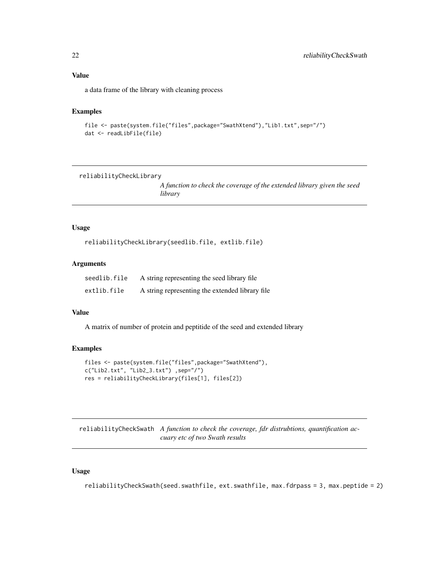<span id="page-21-0"></span>a data frame of the library with cleaning process

#### Examples

```
file <- paste(system.file("files",package="SwathXtend"),"Lib1.txt",sep="/")
dat <- readLibFile(file)
```
reliabilityCheckLibrary

*A function to check the coverage of the extended library given the seed library*

#### Usage

reliabilityCheckLibrary(seedlib.file, extlib.file)

#### Arguments

| seedlib.file | A string representing the seed library file     |
|--------------|-------------------------------------------------|
| extlib.file  | A string representing the extended library file |

#### Value

A matrix of number of protein and peptitide of the seed and extended library

#### Examples

```
files <- paste(system.file("files",package="SwathXtend"),
c("Lib2.txt", "Lib2_3.txt") ,sep="/")
res = reliabilityCheckLibrary(files[1], files[2])
```
reliabilityCheckSwath *A function to check the coverage, fdr distrubtions, quantification accuary etc of two Swath results*

#### Usage

reliabilityCheckSwath(seed.swathfile, ext.swathfile, max.fdrpass = 3, max.peptide = 2)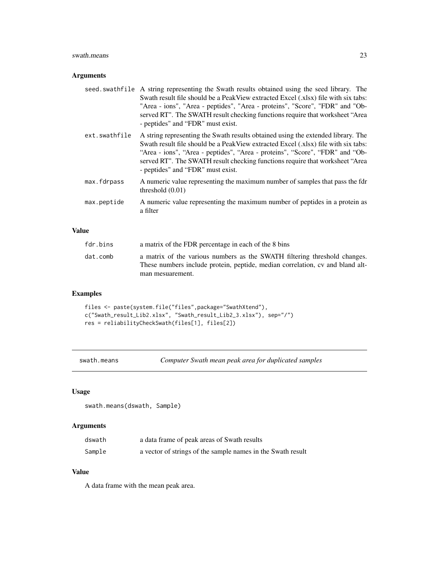#### <span id="page-22-0"></span>swath.means 23

#### Arguments

|               | seed swathfile A string representing the Swath results obtained using the seed library. The<br>Swath result file should be a PeakView extracted Excel (xlsx) file with six tabs:<br>"Area - ions", "Area - peptides", "Area - proteins", "Score", "FDR" and "Ob-<br>served RT". The SWATH result checking functions require that worksheet "Area<br>- peptides" and "FDR" must exist. |
|---------------|---------------------------------------------------------------------------------------------------------------------------------------------------------------------------------------------------------------------------------------------------------------------------------------------------------------------------------------------------------------------------------------|
| ext.swathfile | A string representing the Swath results obtained using the extended library. The<br>Swath result file should be a PeakView extracted Excel (xlsx) file with six tabs:<br>"Area - ions", "Area - peptides", "Area - proteins", "Score", "FDR" and "Ob-<br>served RT". The SWATH result checking functions require that worksheet "Area<br>- peptides" and "FDR" must exist.            |
| max.fdrpass   | A numeric value representing the maximum number of samples that pass the fdr<br>threshold $(0.01)$                                                                                                                                                                                                                                                                                    |
| max.peptide   | A numeric value representing the maximum number of peptides in a protein as<br>a filter                                                                                                                                                                                                                                                                                               |

#### Value

| fdr.bins | a matrix of the FDR percentage in each of the 8 bins                                                                                                                           |
|----------|--------------------------------------------------------------------------------------------------------------------------------------------------------------------------------|
| dat.comb | a matrix of the various numbers as the SWATH filtering threshold changes.<br>These numbers include protein, peptide, median correlation, cv and bland alt-<br>man mesuarement. |
|          |                                                                                                                                                                                |

#### Examples

```
files <- paste(system.file("files",package="SwathXtend"),
c("Swath_result_Lib2.xlsx", "Swath_result_Lib2_3.xlsx"), sep="/")
res = reliabilityCheckSwath(files[1], files[2])
```
swath.means *Computer Swath mean peak area for duplicated samples*

#### Usage

```
swath.means(dswath, Sample)
```
#### Arguments

| dswath | a data frame of peak areas of Swath results                 |
|--------|-------------------------------------------------------------|
| Sample | a vector of strings of the sample names in the Swath result |

#### Value

A data frame with the mean peak area.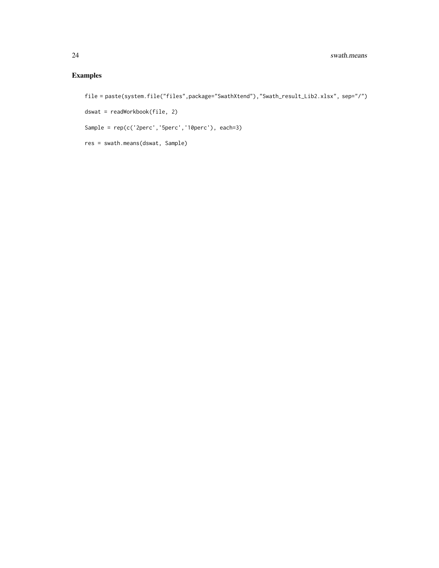```
file = paste(system.file("files",package="SwathXtend"),"Swath_result_Lib2.xlsx", sep="/")
dswat = readWorkbook(file, 2)
Sample = rep(c('2perc','5perc','10perc'), each=3)
res = swath.means(dswat, Sample)
```